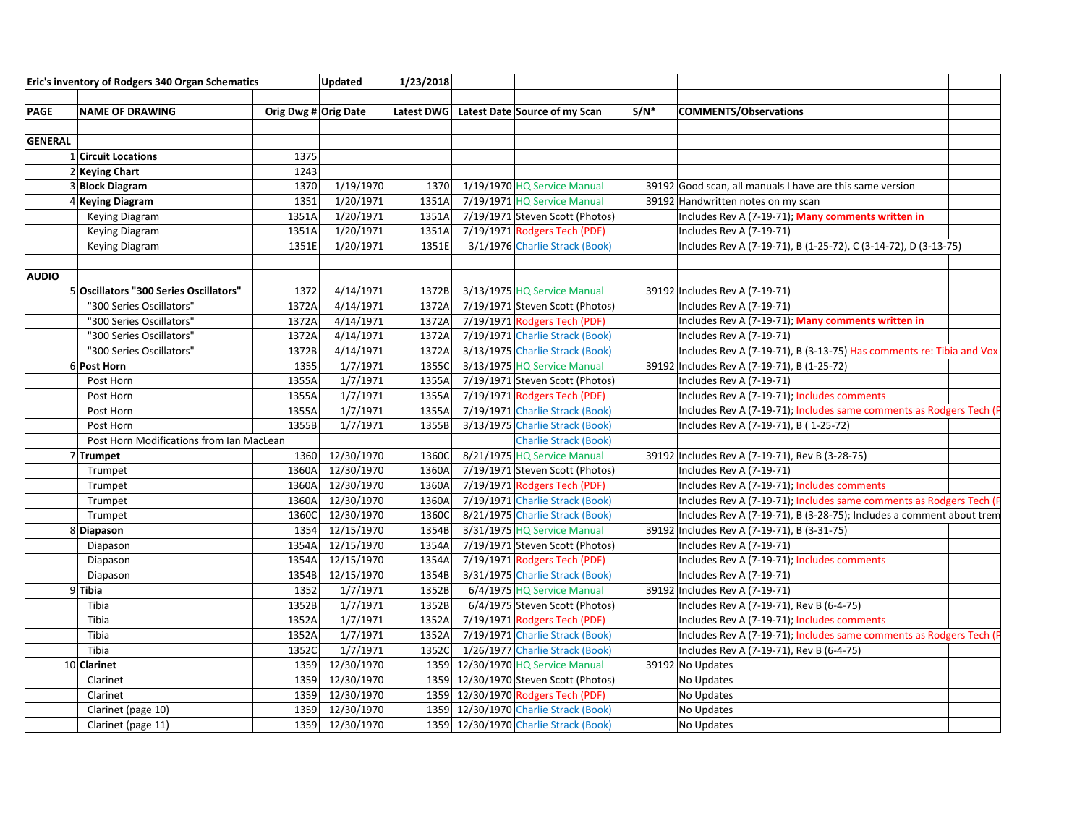| Eric's inventory of Rodgers 340 Organ Schematics<br><b>Updated</b> |                                          | 1/23/2018            |            |       |                                          |         |                                                                      |  |
|--------------------------------------------------------------------|------------------------------------------|----------------------|------------|-------|------------------------------------------|---------|----------------------------------------------------------------------|--|
|                                                                    |                                          |                      |            |       |                                          |         |                                                                      |  |
| <b>PAGE</b>                                                        | <b>NAME OF DRAWING</b>                   | Orig Dwg # Orig Date |            |       | Latest DWG Latest Date Source of my Scan | $S/N^*$ | <b>COMMENTS/Observations</b>                                         |  |
|                                                                    |                                          |                      |            |       |                                          |         |                                                                      |  |
| <b>GENERAL</b>                                                     |                                          |                      |            |       |                                          |         |                                                                      |  |
|                                                                    | 1 Circuit Locations                      | 1375                 |            |       |                                          |         |                                                                      |  |
|                                                                    | 2 Keying Chart                           | 1243                 |            |       |                                          |         |                                                                      |  |
|                                                                    | 3 Block Diagram                          | 1370                 | 1/19/1970  | 1370  | 1/19/1970 HQ Service Manual              |         | 39192 Good scan, all manuals I have are this same version            |  |
|                                                                    | 4 Keying Diagram                         | 1351                 | 1/20/1971  | 1351A | 7/19/1971 HQ Service Manual              |         | 39192 Handwritten notes on my scan                                   |  |
|                                                                    | Keying Diagram                           | 1351A                | 1/20/1971  | 1351A | 7/19/1971 Steven Scott (Photos)          |         | Includes Rev A (7-19-71); Many comments written in                   |  |
|                                                                    | Keying Diagram                           | 1351A                | 1/20/1971  | 1351A | 7/19/1971 Rodgers Tech (PDF)             |         | Includes Rev A (7-19-71)                                             |  |
|                                                                    | Keying Diagram                           | 1351E                | 1/20/1971  | 1351E | 3/1/1976 Charlie Strack (Book)           |         | Includes Rev A (7-19-71), B (1-25-72), C (3-14-72), D (3-13-75)      |  |
|                                                                    |                                          |                      |            |       |                                          |         |                                                                      |  |
| <b>AUDIO</b>                                                       |                                          |                      |            |       |                                          |         |                                                                      |  |
|                                                                    | 5 Oscillators "300 Series Oscillators"   | 1372                 | 4/14/1971  | 1372B | 3/13/1975 HQ Service Manual              |         | 39192 Includes Rev A (7-19-71)                                       |  |
|                                                                    | "300 Series Oscillators"                 | 1372A                | 4/14/1971  | 1372A | 7/19/1971 Steven Scott (Photos)          |         | Includes Rev A (7-19-71)                                             |  |
|                                                                    | "300 Series Oscillators"                 | 1372A                | 4/14/1971  | 1372A | 7/19/1971 Rodgers Tech (PDF)             |         | Includes Rev A (7-19-71); Many comments written in                   |  |
|                                                                    | "300 Series Oscillators"                 | 1372A                | 4/14/1971  | 1372A | 7/19/1971 Charlie Strack (Book)          |         | Includes Rev A (7-19-71)                                             |  |
|                                                                    | "300 Series Oscillators"                 | 1372B                | 4/14/1971  | 1372A | 3/13/1975 Charlie Strack (Book)          |         | Includes Rev A (7-19-71), B (3-13-75) Has comments re: Tibia and Vox |  |
|                                                                    | 6 Post Horn                              | 1355                 | 1/7/1971   | 1355C | 3/13/1975 HQ Service Manual              |         | 39192 Includes Rev A (7-19-71), B (1-25-72)                          |  |
|                                                                    | Post Horn                                | 1355A                | 1/7/1971   | 1355A | 7/19/1971 Steven Scott (Photos)          |         | Includes Rev A (7-19-71)                                             |  |
|                                                                    | Post Horn                                | 1355A                | 1/7/1971   | 1355A | 7/19/1971 Rodgers Tech (PDF)             |         | Includes Rev A (7-19-71); Includes comments                          |  |
|                                                                    | Post Horn                                | 1355A                | 1/7/1971   | 1355A | 7/19/1971 Charlie Strack (Book)          |         | Includes Rev A (7-19-71); Includes same comments as Rodgers Tech (P  |  |
|                                                                    | Post Horn                                | 1355B                | 1/7/1971   | 1355B | 3/13/1975 Charlie Strack (Book)          |         | Includes Rev A (7-19-71), B (1-25-72)                                |  |
|                                                                    | Post Horn Modifications from Ian MacLean |                      |            |       | <b>Charlie Strack (Book)</b>             |         |                                                                      |  |
|                                                                    | 7 Trumpet                                | 1360                 | 12/30/1970 | 1360C | 8/21/1975 HQ Service Manual              |         | 39192 Includes Rev A (7-19-71), Rev B (3-28-75)                      |  |
|                                                                    | Trumpet                                  | 1360A                | 12/30/1970 | 1360A | 7/19/1971 Steven Scott (Photos)          |         | Includes Rev A (7-19-71)                                             |  |
|                                                                    | Trumpet                                  | 1360A                | 12/30/1970 | 1360A | 7/19/1971 Rodgers Tech (PDF)             |         | Includes Rev A (7-19-71); Includes comments                          |  |
|                                                                    | Trumpet                                  | 1360A                | 12/30/1970 | 1360A | 7/19/1971 Charlie Strack (Book)          |         | Includes Rev A (7-19-71); Includes same comments as Rodgers Tech (P  |  |
|                                                                    | Trumpet                                  | 1360C                | 12/30/1970 | 1360C | 8/21/1975 Charlie Strack (Book)          |         | Includes Rev A (7-19-71), B (3-28-75); Includes a comment about trem |  |
|                                                                    | 8Diapason                                | 1354                 | 12/15/1970 | 1354B | 3/31/1975 HQ Service Manual              |         | 39192 Includes Rev A (7-19-71), B (3-31-75)                          |  |
|                                                                    | Diapason                                 | 1354A                | 12/15/1970 | 1354A | 7/19/1971 Steven Scott (Photos)          |         | Includes Rev A (7-19-71)                                             |  |
|                                                                    | Diapason                                 | 1354A                | 12/15/1970 | 1354A | 7/19/1971 Rodgers Tech (PDF)             |         | Includes Rev A (7-19-71); Includes comments                          |  |
|                                                                    | Diapason                                 | 1354B                | 12/15/1970 | 1354B | 3/31/1975 Charlie Strack (Book)          |         | Includes Rev A (7-19-71)                                             |  |
|                                                                    | 9Tibia                                   | 1352                 | 1/7/1971   | 1352B | 6/4/1975 HQ Service Manual               |         | 39192 Includes Rev A (7-19-71)                                       |  |
|                                                                    | Tibia                                    | 1352B                | 1/7/1971   | 1352B | 6/4/1975 Steven Scott (Photos)           |         | Includes Rev A (7-19-71), Rev B (6-4-75)                             |  |
|                                                                    | Tibia                                    | 1352A                | 1/7/1971   | 1352A | 7/19/1971 Rodgers Tech (PDF)             |         | Includes Rev A (7-19-71); Includes comments                          |  |
|                                                                    | Tibia                                    | 1352A                | 1/7/1971   | 1352A | 7/19/1971 Charlie Strack (Book)          |         | Includes Rev A (7-19-71); Includes same comments as Rodgers Tech (P  |  |
|                                                                    | Tibia                                    | 1352C                | 1/7/1971   | 1352C | 1/26/1977 Charlie Strack (Book)          |         | Includes Rev A (7-19-71), Rev B (6-4-75)                             |  |
|                                                                    | 10 Clarinet                              | 1359                 | 12/30/1970 |       | 1359 12/30/1970 HQ Service Manual        |         | 39192 No Updates                                                     |  |
|                                                                    | Clarinet                                 | 1359                 | 12/30/1970 |       | 1359 12/30/1970 Steven Scott (Photos)    |         | No Updates                                                           |  |
|                                                                    | Clarinet                                 | 1359                 | 12/30/1970 |       | 1359 12/30/1970 Rodgers Tech (PDF)       |         | No Updates                                                           |  |
|                                                                    | Clarinet (page 10)                       | 1359                 | 12/30/1970 |       | 1359 12/30/1970 Charlie Strack (Book)    |         | No Updates                                                           |  |
|                                                                    | Clarinet (page 11)                       | 1359                 | 12/30/1970 |       | 1359 12/30/1970 Charlie Strack (Book)    |         | No Updates                                                           |  |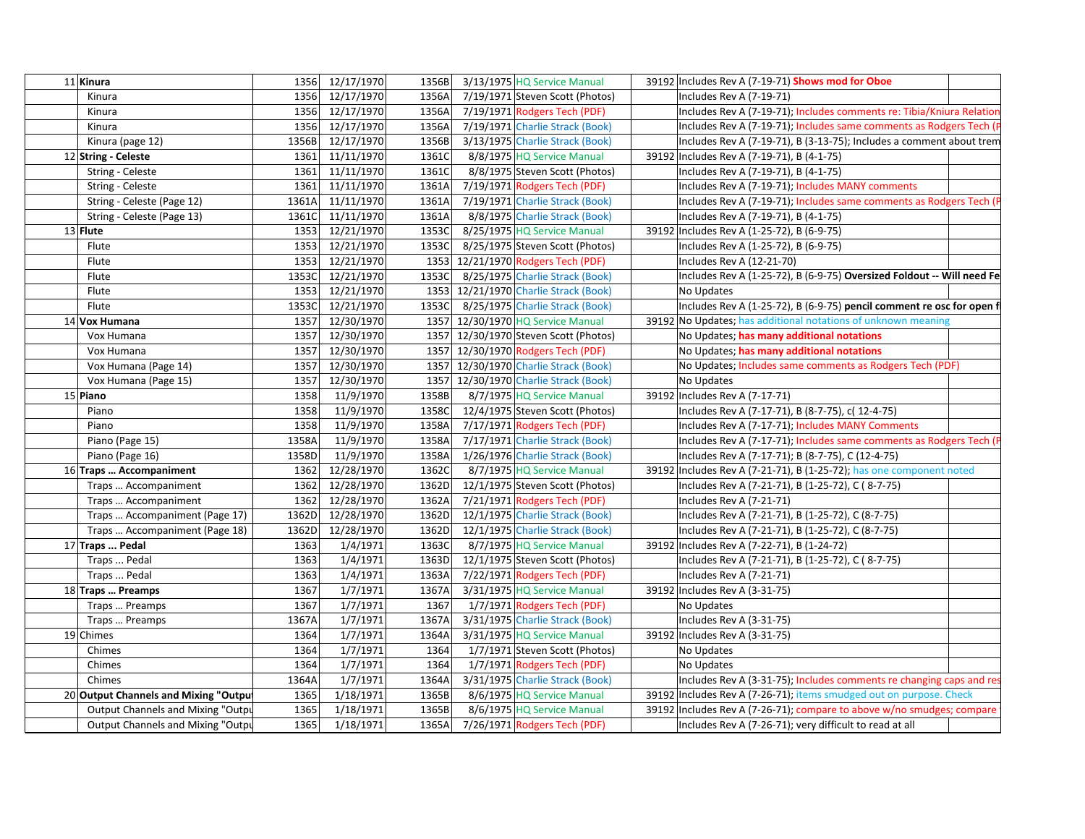| 12/17/1970<br>7/19/1971 Steven Scott (Photos)<br>1356<br>1356A<br>Includes Rev A (7-19-71)<br>Kinura<br>12/17/1970<br>7/19/1971 Rodgers Tech (PDF)<br>Includes Rev A (7-19-71); Includes comments re: Tibia/Kniura Relation<br>1356<br>1356A<br>Kinura<br>7/19/1971 Charlie Strack (Book)<br>Includes Rev A (7-19-71); Includes same comments as Rodgers Tech (<br>1356 12/17/1970<br>1356A<br>Kinura<br>1356B 12/17/1970<br>1356B<br>3/13/1975 Charlie Strack (Book)<br>Includes Rev A (7-19-71), B (3-13-75); Includes a comment about trem<br>Kinura (page 12)<br>11/11/1970<br>8/8/1975 HQ Service Manual<br>12 String - Celeste<br>1361<br>1361C<br>39192 Includes Rev A (7-19-71), B (4-1-75)<br>11/11/1970<br>1361C<br>8/8/1975 Steven Scott (Photos)<br>String - Celeste<br>1361<br>Includes Rev A (7-19-71), B (4-1-75)<br>11/11/1970<br>1361A<br>7/19/1971 Rodgers Tech (PDF)<br>String - Celeste<br>1361<br>Includes Rev A (7-19-71); Includes MANY comments<br>String - Celeste (Page 12)<br>11/11/1970<br>7/19/1971 Charlie Strack (Book)<br>1361A<br>1361A<br>Includes Rev A (7-19-71); Includes same comments as Rodgers Tech (<br>11/11/1970<br>1361A<br>8/8/1975 Charlie Strack (Book)<br>String - Celeste (Page 13)<br>1361C<br>Includes Rev A (7-19-71), B (4-1-75)<br>8/25/1975 HQ Service Manual<br>13 Flute<br>1353<br>12/21/1970<br>1353C<br>39192 Includes Rev A (1-25-72), B (6-9-75) |  |
|----------------------------------------------------------------------------------------------------------------------------------------------------------------------------------------------------------------------------------------------------------------------------------------------------------------------------------------------------------------------------------------------------------------------------------------------------------------------------------------------------------------------------------------------------------------------------------------------------------------------------------------------------------------------------------------------------------------------------------------------------------------------------------------------------------------------------------------------------------------------------------------------------------------------------------------------------------------------------------------------------------------------------------------------------------------------------------------------------------------------------------------------------------------------------------------------------------------------------------------------------------------------------------------------------------------------------------------------------------------------------------------------------------------|--|
|                                                                                                                                                                                                                                                                                                                                                                                                                                                                                                                                                                                                                                                                                                                                                                                                                                                                                                                                                                                                                                                                                                                                                                                                                                                                                                                                                                                                                |  |
|                                                                                                                                                                                                                                                                                                                                                                                                                                                                                                                                                                                                                                                                                                                                                                                                                                                                                                                                                                                                                                                                                                                                                                                                                                                                                                                                                                                                                |  |
|                                                                                                                                                                                                                                                                                                                                                                                                                                                                                                                                                                                                                                                                                                                                                                                                                                                                                                                                                                                                                                                                                                                                                                                                                                                                                                                                                                                                                |  |
|                                                                                                                                                                                                                                                                                                                                                                                                                                                                                                                                                                                                                                                                                                                                                                                                                                                                                                                                                                                                                                                                                                                                                                                                                                                                                                                                                                                                                |  |
|                                                                                                                                                                                                                                                                                                                                                                                                                                                                                                                                                                                                                                                                                                                                                                                                                                                                                                                                                                                                                                                                                                                                                                                                                                                                                                                                                                                                                |  |
|                                                                                                                                                                                                                                                                                                                                                                                                                                                                                                                                                                                                                                                                                                                                                                                                                                                                                                                                                                                                                                                                                                                                                                                                                                                                                                                                                                                                                |  |
|                                                                                                                                                                                                                                                                                                                                                                                                                                                                                                                                                                                                                                                                                                                                                                                                                                                                                                                                                                                                                                                                                                                                                                                                                                                                                                                                                                                                                |  |
|                                                                                                                                                                                                                                                                                                                                                                                                                                                                                                                                                                                                                                                                                                                                                                                                                                                                                                                                                                                                                                                                                                                                                                                                                                                                                                                                                                                                                |  |
|                                                                                                                                                                                                                                                                                                                                                                                                                                                                                                                                                                                                                                                                                                                                                                                                                                                                                                                                                                                                                                                                                                                                                                                                                                                                                                                                                                                                                |  |
|                                                                                                                                                                                                                                                                                                                                                                                                                                                                                                                                                                                                                                                                                                                                                                                                                                                                                                                                                                                                                                                                                                                                                                                                                                                                                                                                                                                                                |  |
| 12/21/1970<br>8/25/1975 Steven Scott (Photos)<br>Flute<br>1353<br>1353C<br>Includes Rev A (1-25-72), B (6-9-75)                                                                                                                                                                                                                                                                                                                                                                                                                                                                                                                                                                                                                                                                                                                                                                                                                                                                                                                                                                                                                                                                                                                                                                                                                                                                                                |  |
| Flute<br>1353<br>12/21/1970<br>1353 12/21/1970 Rodgers Tech (PDF)<br>Includes Rev A (12-21-70)                                                                                                                                                                                                                                                                                                                                                                                                                                                                                                                                                                                                                                                                                                                                                                                                                                                                                                                                                                                                                                                                                                                                                                                                                                                                                                                 |  |
| Flute<br>1353C<br>12/21/1970<br>1353C<br>8/25/1975 Charlie Strack (Book)<br>Includes Rev A (1-25-72), B (6-9-75) Oversized Foldout -- Will need Fe                                                                                                                                                                                                                                                                                                                                                                                                                                                                                                                                                                                                                                                                                                                                                                                                                                                                                                                                                                                                                                                                                                                                                                                                                                                             |  |
| Flute<br>1353<br>12/21/1970<br>1353 12/21/1970 Charlie Strack (Book)<br>No Updates                                                                                                                                                                                                                                                                                                                                                                                                                                                                                                                                                                                                                                                                                                                                                                                                                                                                                                                                                                                                                                                                                                                                                                                                                                                                                                                             |  |
| Flute<br>1353C 12/21/1970<br>8/25/1975 Charlie Strack (Book)<br>1353C<br>Includes Rev A (1-25-72), B (6-9-75) pencil comment re osc for open f                                                                                                                                                                                                                                                                                                                                                                                                                                                                                                                                                                                                                                                                                                                                                                                                                                                                                                                                                                                                                                                                                                                                                                                                                                                                 |  |
| 1357<br>12/30/1970<br>1357 12/30/1970 HQ Service Manual<br>14 Vox Humana<br>39192 No Updates; has additional notations of unknown meaning                                                                                                                                                                                                                                                                                                                                                                                                                                                                                                                                                                                                                                                                                                                                                                                                                                                                                                                                                                                                                                                                                                                                                                                                                                                                      |  |
| 12/30/1970<br>No Updates; has many additional notations<br>Vox Humana<br>1357<br>1357 12/30/1970 Steven Scott (Photos)                                                                                                                                                                                                                                                                                                                                                                                                                                                                                                                                                                                                                                                                                                                                                                                                                                                                                                                                                                                                                                                                                                                                                                                                                                                                                         |  |
| 12/30/1970<br>1357 12/30/1970 Rodgers Tech (PDF)<br>No Updates; has many additional notations<br>Vox Humana<br>1357                                                                                                                                                                                                                                                                                                                                                                                                                                                                                                                                                                                                                                                                                                                                                                                                                                                                                                                                                                                                                                                                                                                                                                                                                                                                                            |  |
| 12/30/1970<br>1357 12/30/1970 Charlie Strack (Book)<br>No Updates; Includes same comments as Rodgers Tech (PDF)<br>Vox Humana (Page 14)<br>1357                                                                                                                                                                                                                                                                                                                                                                                                                                                                                                                                                                                                                                                                                                                                                                                                                                                                                                                                                                                                                                                                                                                                                                                                                                                                |  |
| 1357 12/30/1970 Charlie Strack (Book)<br>Vox Humana (Page 15)<br>1357<br>12/30/1970<br>No Updates                                                                                                                                                                                                                                                                                                                                                                                                                                                                                                                                                                                                                                                                                                                                                                                                                                                                                                                                                                                                                                                                                                                                                                                                                                                                                                              |  |
| 1358<br>11/9/1970<br>1358B<br>8/7/1975 HQ Service Manual<br>39192 Includes Rev A (7-17-71)<br>15 Piano                                                                                                                                                                                                                                                                                                                                                                                                                                                                                                                                                                                                                                                                                                                                                                                                                                                                                                                                                                                                                                                                                                                                                                                                                                                                                                         |  |
| 1358<br>11/9/1970<br>1358C<br>12/4/1975 Steven Scott (Photos)<br>Includes Rev A (7-17-71), B (8-7-75), c( 12-4-75)<br>Piano                                                                                                                                                                                                                                                                                                                                                                                                                                                                                                                                                                                                                                                                                                                                                                                                                                                                                                                                                                                                                                                                                                                                                                                                                                                                                    |  |
| 7/17/1971 Rodgers Tech (PDF)<br>1358<br>11/9/1970<br>1358A<br>Includes Rev A (7-17-71); Includes MANY Comments<br>Piano                                                                                                                                                                                                                                                                                                                                                                                                                                                                                                                                                                                                                                                                                                                                                                                                                                                                                                                                                                                                                                                                                                                                                                                                                                                                                        |  |
| 1358A<br>11/9/1970<br>1358A<br>7/17/1971 Charlie Strack (Book)<br>Includes Rev A (7-17-71); Includes same comments as Rodgers Tech (<br>Piano (Page 15)                                                                                                                                                                                                                                                                                                                                                                                                                                                                                                                                                                                                                                                                                                                                                                                                                                                                                                                                                                                                                                                                                                                                                                                                                                                        |  |
| 1358D<br>11/9/1970<br>1358A<br>1/26/1976 Charlie Strack (Book)<br>Includes Rev A (7-17-71); B (8-7-75), C (12-4-75)<br>Piano (Page 16)                                                                                                                                                                                                                                                                                                                                                                                                                                                                                                                                                                                                                                                                                                                                                                                                                                                                                                                                                                                                                                                                                                                                                                                                                                                                         |  |
| 8/7/1975 HQ Service Manual<br>12/28/1970<br>1362C<br>39192 Includes Rev A (7-21-71), B (1-25-72); has one component noted<br>16 Traps  Accompaniment<br>1362                                                                                                                                                                                                                                                                                                                                                                                                                                                                                                                                                                                                                                                                                                                                                                                                                                                                                                                                                                                                                                                                                                                                                                                                                                                   |  |
| 1362<br>12/28/1970<br>1362D<br>12/1/1975 Steven Scott (Photos)<br>Traps  Accompaniment<br>Includes Rev A (7-21-71), B (1-25-72), C (8-7-75)                                                                                                                                                                                                                                                                                                                                                                                                                                                                                                                                                                                                                                                                                                                                                                                                                                                                                                                                                                                                                                                                                                                                                                                                                                                                    |  |
| 1362<br>12/28/1970<br>1362A<br>7/21/1971 Rodgers Tech (PDF)<br>Includes Rev A (7-21-71)<br>Traps  Accompaniment                                                                                                                                                                                                                                                                                                                                                                                                                                                                                                                                                                                                                                                                                                                                                                                                                                                                                                                                                                                                                                                                                                                                                                                                                                                                                                |  |
| 12/28/1970<br>12/1/1975 Charlie Strack (Book)<br>Traps  Accompaniment (Page 17)<br>1362D<br>1362D<br>Includes Rev A (7-21-71), B (1-25-72), C (8-7-75)                                                                                                                                                                                                                                                                                                                                                                                                                                                                                                                                                                                                                                                                                                                                                                                                                                                                                                                                                                                                                                                                                                                                                                                                                                                         |  |
| 12/28/1970<br>1362D<br>12/1/1975 Charlie Strack (Book)<br>1362D<br>Traps  Accompaniment (Page 18)<br>Includes Rev A (7-21-71), B (1-25-72), C (8-7-75)                                                                                                                                                                                                                                                                                                                                                                                                                                                                                                                                                                                                                                                                                                                                                                                                                                                                                                                                                                                                                                                                                                                                                                                                                                                         |  |
| 1/4/1971<br>8/7/1975 HQ Service Manual<br>1363<br>1363C<br>39192 Includes Rev A (7-22-71), B (1-24-72)<br>17 Traps  Pedal                                                                                                                                                                                                                                                                                                                                                                                                                                                                                                                                                                                                                                                                                                                                                                                                                                                                                                                                                                                                                                                                                                                                                                                                                                                                                      |  |
| 1363<br>1/4/1971<br>1363D<br>12/1/1975 Steven Scott (Photos)<br>Includes Rev A (7-21-71), B (1-25-72), C (8-7-75)<br>Traps  Pedal                                                                                                                                                                                                                                                                                                                                                                                                                                                                                                                                                                                                                                                                                                                                                                                                                                                                                                                                                                                                                                                                                                                                                                                                                                                                              |  |
| 1/4/1971<br>1363<br>1363A<br>7/22/1971 Rodgers Tech (PDF)<br>Traps  Pedal<br>Includes Rev A (7-21-71)                                                                                                                                                                                                                                                                                                                                                                                                                                                                                                                                                                                                                                                                                                                                                                                                                                                                                                                                                                                                                                                                                                                                                                                                                                                                                                          |  |
| 1367<br>1/7/1971<br>1367A<br>3/31/1975 HQ Service Manual<br>39192 Includes Rev A (3-31-75)<br>18 Traps  Preamps                                                                                                                                                                                                                                                                                                                                                                                                                                                                                                                                                                                                                                                                                                                                                                                                                                                                                                                                                                                                                                                                                                                                                                                                                                                                                                |  |
| 1/7/1971<br>1/7/1971 Rodgers Tech (PDF)<br>1367<br>1367<br>No Updates<br>Traps  Preamps                                                                                                                                                                                                                                                                                                                                                                                                                                                                                                                                                                                                                                                                                                                                                                                                                                                                                                                                                                                                                                                                                                                                                                                                                                                                                                                        |  |
| 3/31/1975 Charlie Strack (Book)<br>1/7/1971<br>1367A<br>1367A<br>Includes Rev A (3-31-75)<br>Traps  Preamps                                                                                                                                                                                                                                                                                                                                                                                                                                                                                                                                                                                                                                                                                                                                                                                                                                                                                                                                                                                                                                                                                                                                                                                                                                                                                                    |  |
| 1364<br>1/7/1971<br>1364A<br>3/31/1975 HQ Service Manual<br>39192 Includes Rev A (3-31-75)<br>19 Chimes                                                                                                                                                                                                                                                                                                                                                                                                                                                                                                                                                                                                                                                                                                                                                                                                                                                                                                                                                                                                                                                                                                                                                                                                                                                                                                        |  |
| 1364<br>1/7/1971<br>1364<br>1/7/1971 Steven Scott (Photos)<br>Chimes<br>No Updates                                                                                                                                                                                                                                                                                                                                                                                                                                                                                                                                                                                                                                                                                                                                                                                                                                                                                                                                                                                                                                                                                                                                                                                                                                                                                                                             |  |
| 1/7/1971<br>1364<br>1/7/1971 Rodgers Tech (PDF)<br>Chimes<br>1364<br>No Updates                                                                                                                                                                                                                                                                                                                                                                                                                                                                                                                                                                                                                                                                                                                                                                                                                                                                                                                                                                                                                                                                                                                                                                                                                                                                                                                                |  |
| 1364A<br>1/7/1971<br>3/31/1975 Charlie Strack (Book)<br>Chimes<br>1364A<br>Includes Rev A (3-31-75); Includes comments re changing caps and res                                                                                                                                                                                                                                                                                                                                                                                                                                                                                                                                                                                                                                                                                                                                                                                                                                                                                                                                                                                                                                                                                                                                                                                                                                                                |  |
| 1365<br>1/18/1971<br>8/6/1975 HQ Service Manual<br>20 Output Channels and Mixing "Output<br>1365B<br>39192 Includes Rev A (7-26-71); items smudged out on purpose. Check                                                                                                                                                                                                                                                                                                                                                                                                                                                                                                                                                                                                                                                                                                                                                                                                                                                                                                                                                                                                                                                                                                                                                                                                                                       |  |
| 1365B<br>8/6/1975 HQ Service Manual<br>Output Channels and Mixing "Outpu<br>1365<br>1/18/1971<br>39192 Includes Rev A (7-26-71); compare to above w/no smudges; compare                                                                                                                                                                                                                                                                                                                                                                                                                                                                                                                                                                                                                                                                                                                                                                                                                                                                                                                                                                                                                                                                                                                                                                                                                                        |  |
| 1365<br>1/18/1971<br>7/26/1971 Rodgers Tech (PDF)<br>Output Channels and Mixing "Outpu<br>1365A<br>Includes Rev A (7-26-71); very difficult to read at all                                                                                                                                                                                                                                                                                                                                                                                                                                                                                                                                                                                                                                                                                                                                                                                                                                                                                                                                                                                                                                                                                                                                                                                                                                                     |  |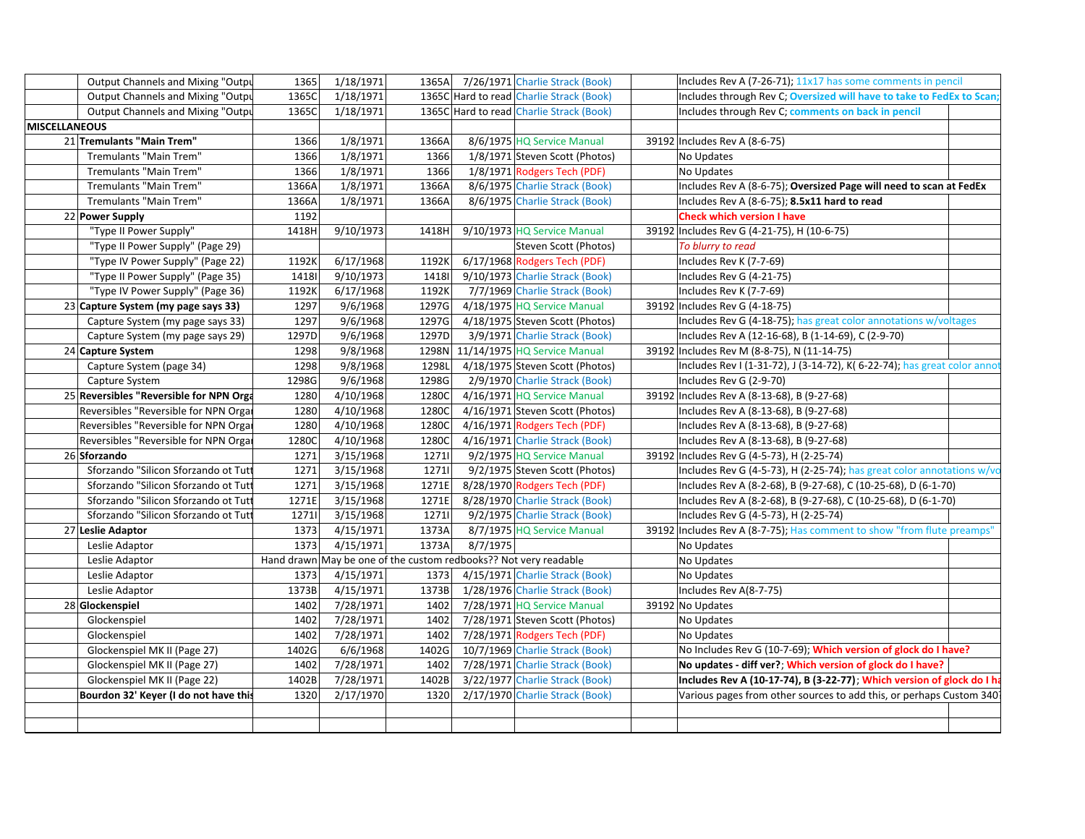|                      | Output Channels and Mixing "Outpu       | 1365  | 1/18/1971             |       | 1365A 7/26/1971 Charlie Strack (Book)                            | Includes Rev A (7-26-71); 11x17 has some comments in pencil              |  |
|----------------------|-----------------------------------------|-------|-----------------------|-------|------------------------------------------------------------------|--------------------------------------------------------------------------|--|
|                      | Output Channels and Mixing "Outpu       | 1365C | 1/18/1971             |       | 1365C Hard to read Charlie Strack (Book)                         | Includes through Rev C; Oversized will have to take to FedEx to Scan     |  |
|                      | Output Channels and Mixing "Outpu       | 1365C | 1/18/1971             |       | 1365C Hard to read Charlie Strack (Book)                         | Includes through Rev C; comments on back in pencil                       |  |
| <b>MISCELLANEOUS</b> |                                         |       |                       |       |                                                                  |                                                                          |  |
|                      | 21 Tremulants "Main Trem"               | 1366  | 1/8/1971              | 1366A | 8/6/1975 HQ Service Manual                                       | 39192 Includes Rev A (8-6-75)                                            |  |
|                      | Tremulants "Main Trem"                  | 1366  | 1/8/1971              | 1366  | 1/8/1971 Steven Scott (Photos)                                   | No Updates                                                               |  |
|                      | Tremulants "Main Trem"                  | 1366  | 1/8/1971              | 1366  | 1/8/1971 Rodgers Tech (PDF)                                      | No Updates                                                               |  |
|                      | Tremulants "Main Trem"                  | 1366A | 1/8/1971              | 1366A | 8/6/1975 Charlie Strack (Book)                                   | Includes Rev A (8-6-75); Oversized Page will need to scan at FedEx       |  |
|                      | Tremulants "Main Trem"                  | 1366A | 1/8/1971              | 1366A | 8/6/1975 Charlie Strack (Book)                                   | Includes Rev A (8-6-75); 8.5x11 hard to read                             |  |
| 22 Power Supply      |                                         | 1192  |                       |       |                                                                  | <b>Check which version I have</b>                                        |  |
|                      | "Type II Power Supply"                  | 1418H | 9/10/1973             | 1418H | 9/10/1973 HQ Service Manual                                      | 39192 Includes Rev G (4-21-75), H (10-6-75)                              |  |
|                      | "Type II Power Supply" (Page 29)        |       |                       |       | Steven Scott (Photos)                                            | To blurry to read                                                        |  |
|                      | "Type IV Power Supply" (Page 22)        | 1192K | 6/17/1968             | 1192K | 6/17/1968 Rodgers Tech (PDF)                                     | Includes Rev K (7-7-69)                                                  |  |
|                      | "Type II Power Supply" (Page 35)        | 14181 | $\frac{1}{9}$ 10/1973 | 14181 | 9/10/1973 Charlie Strack (Book)                                  | Includes Rev G (4-21-75)                                                 |  |
|                      | "Type IV Power Supply" (Page 36)        | 1192K | 6/17/1968             | 1192K | 7/7/1969 Charlie Strack (Book)                                   | Includes Rev K (7-7-69)                                                  |  |
|                      | 23 Capture System (my page says 33)     | 1297  | 9/6/1968              | 1297G | 4/18/1975 HQ Service Manual                                      | 39192 Includes Rev G (4-18-75)                                           |  |
|                      | Capture System (my page says 33)        | 1297  | 9/6/1968              | 1297G | 4/18/1975 Steven Scott (Photos)                                  | Includes Rev G (4-18-75); has great color annotations w/voltages         |  |
|                      | Capture System (my page says 29)        | 1297D | 9/6/1968              | 1297D | 3/9/1971 Charlie Strack (Book)                                   | Includes Rev A (12-16-68), B (1-14-69), C (2-9-70)                       |  |
|                      | 24 Capture System                       | 1298  | 9/8/1968              | 1298N | 11/14/1975 HQ Service Manual                                     | 39192 Includes Rev M (8-8-75), N (11-14-75)                              |  |
|                      | Capture System (page 34)                | 1298  | 9/8/1968              | 1298L | 4/18/1975 Steven Scott (Photos)                                  | Includes Rev I (1-31-72), J (3-14-72), K( 6-22-74); has great color anno |  |
|                      | Capture System                          | 1298G | 9/6/1968              | 1298G | 2/9/1970 Charlie Strack (Book)                                   | Includes Rev G (2-9-70)                                                  |  |
|                      | 25 Reversibles "Reversible for NPN Orga | 1280  | 4/10/1968             | 1280C | 4/16/1971 HQ Service Manual                                      | 39192 Includes Rev A (8-13-68), B (9-27-68)                              |  |
|                      | Reversibles "Reversible for NPN Organ   | 1280  | 4/10/1968             | 1280C | 4/16/1971 Steven Scott (Photos)                                  | Includes Rev A (8-13-68), B (9-27-68)                                    |  |
|                      | Reversibles "Reversible for NPN Orgar   | 1280  | 4/10/1968             | 1280C | 4/16/1971 Rodgers Tech (PDF)                                     | Includes Rev A (8-13-68), B (9-27-68)                                    |  |
|                      | Reversibles "Reversible for NPN Organ   | 1280C | 4/10/1968             | 1280C | 4/16/1971 Charlie Strack (Book)                                  | Includes Rev A (8-13-68), B (9-27-68)                                    |  |
|                      | 26 Sforzando                            | 1271  | 3/15/1968             | 12711 | 9/2/1975 HQ Service Manual                                       | 39192 Includes Rev G (4-5-73), H (2-25-74)                               |  |
|                      | Sforzando "Silicon Sforzando ot Tutt    | 1271  | 3/15/1968             | 12711 | 9/2/1975 Steven Scott (Photos)                                   | Includes Rev G (4-5-73), H (2-25-74); has great color annotations w/vo   |  |
|                      | Sforzando "Silicon Sforzando ot Tutt    | 1271  | 3/15/1968             | 1271E | 8/28/1970 Rodgers Tech (PDF)                                     | Includes Rev A (8-2-68), B (9-27-68), C (10-25-68), D (6-1-70)           |  |
|                      | Sforzando "Silicon Sforzando ot Tutt    | 1271E | 3/15/1968             | 1271E | 8/28/1970 Charlie Strack (Book)                                  | Includes Rev A (8-2-68), B (9-27-68), C (10-25-68), D (6-1-70)           |  |
|                      | Sforzando "Silicon Sforzando ot Tutt    | 12711 | 3/15/1968             | 12711 | 9/2/1975 Charlie Strack (Book)                                   | Includes Rev G (4-5-73), H (2-25-74)                                     |  |
|                      | 27 Leslie Adaptor                       | 1373  | 4/15/1971             | 1373A | 8/7/1975 HQ Service Manual                                       | 39192 Includes Rev A (8-7-75); Has comment to show "from flute preamps"  |  |
|                      | Leslie Adaptor                          | 1373  | 4/15/1971             | 1373A | 8/7/1975                                                         | No Updates                                                               |  |
|                      | Leslie Adaptor                          |       |                       |       | Hand drawn May be one of the custom redbooks?? Not very readable | No Updates                                                               |  |
|                      | Leslie Adaptor                          | 1373  | 4/15/1971             | 1373  | 4/15/1971 Charlie Strack (Book)                                  | No Updates                                                               |  |
|                      | Leslie Adaptor                          | 1373B | 4/15/1971             | 1373B | 1/28/1976 Charlie Strack (Book)                                  | Includes Rev A(8-7-75)                                                   |  |
|                      | 28 Glockenspiel                         | 1402  | 7/28/1971             | 1402  | 7/28/1971 HQ Service Manual                                      | 39192 No Updates                                                         |  |
|                      | Glockenspiel                            | 1402  | 7/28/1971             | 1402  | 7/28/1971 Steven Scott (Photos)                                  | No Updates                                                               |  |
|                      | Glockenspiel                            | 1402  | 7/28/1971             | 1402  | 7/28/1971 Rodgers Tech (PDF)                                     | No Updates                                                               |  |
|                      | Glockenspiel MK II (Page 27)            | 1402G | 6/6/1968              | 1402G | 10/7/1969 Charlie Strack (Book)                                  | No Includes Rev G (10-7-69); Which version of glock do I have?           |  |
|                      | Glockenspiel MK II (Page 27)            | 1402  | 7/28/1971             | 1402  | 7/28/1971 Charlie Strack (Book)                                  | No updates - diff ver?; Which version of glock do I have?                |  |
|                      | Glockenspiel MK II (Page 22)            | 1402B | 7/28/1971             | 1402B | 3/22/1977 Charlie Strack (Book)                                  | Includes Rev A (10-17-74), B (3-22-77); Which version of glock do I h    |  |
|                      | Bourdon 32' Keyer (I do not have this   | 1320  | 2/17/1970             | 1320  | 2/17/1970 Charlie Strack (Book)                                  | Various pages from other sources to add this, or perhaps Custom 340      |  |
|                      |                                         |       |                       |       |                                                                  |                                                                          |  |
|                      |                                         |       |                       |       |                                                                  |                                                                          |  |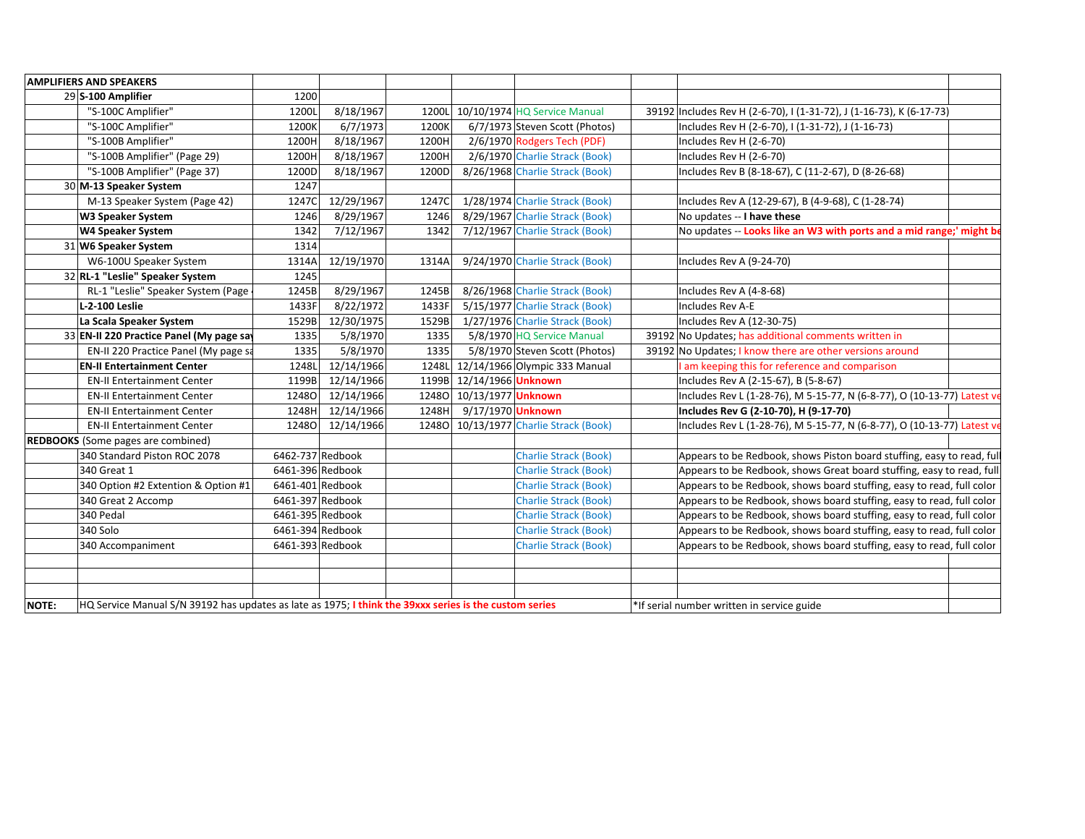|                    | <b>AMPLIFIERS AND SPEAKERS</b>                                                                         |                  |            |       |                          |                                        |                                                                         |  |
|--------------------|--------------------------------------------------------------------------------------------------------|------------------|------------|-------|--------------------------|----------------------------------------|-------------------------------------------------------------------------|--|
| 29 S-100 Amplifier |                                                                                                        | 1200             |            |       |                          |                                        |                                                                         |  |
|                    | "S-100C Amplifier"                                                                                     | 1200L            | 8/18/1967  |       |                          | 1200L 10/10/1974 HQ Service Manual     | 39192 Includes Rev H (2-6-70), I (1-31-72), J (1-16-73), K (6-17-73)    |  |
|                    | "S-100C Amplifier"                                                                                     | 1200K            | 6/7/1973   | 1200K |                          | 6/7/1973 Steven Scott (Photos)         | Includes Rev H (2-6-70), I (1-31-72), J (1-16-73)                       |  |
|                    | "S-100B Amplifier"                                                                                     | 1200H            | 8/18/1967  | 1200H |                          | 2/6/1970 Rodgers Tech (PDF)            | Includes Rev H (2-6-70)                                                 |  |
|                    | "S-100B Amplifier" (Page 29)                                                                           | 1200H            | 8/18/1967  | 1200H |                          | 2/6/1970 Charlie Strack (Book)         | Includes Rev H (2-6-70)                                                 |  |
|                    | "S-100B Amplifier" (Page 37)                                                                           | 1200D            | 8/18/1967  | 1200D |                          | 8/26/1968 Charlie Strack (Book)        | Includes Rev B (8-18-67), C (11-2-67), D (8-26-68)                      |  |
|                    | 30 M-13 Speaker System                                                                                 | 1247             |            |       |                          |                                        |                                                                         |  |
|                    | M-13 Speaker System (Page 42)                                                                          | 1247C            | 12/29/1967 | 1247C |                          | 1/28/1974 Charlie Strack (Book)        | Includes Rev A (12-29-67), B (4-9-68), C (1-28-74)                      |  |
|                    | <b>W3 Speaker System</b>                                                                               | 1246             | 8/29/1967  | 1246  |                          | 8/29/1967 Charlie Strack (Book)        | No updates -- I have these                                              |  |
|                    | <b>W4 Speaker System</b>                                                                               | 1342             | 7/12/1967  | 1342  |                          | 7/12/1967 Charlie Strack (Book)        | No updates -- Looks like an W3 with ports and a mid range;' might be    |  |
|                    | 31 W6 Speaker System                                                                                   | 1314             |            |       |                          |                                        |                                                                         |  |
|                    | W6-100U Speaker System                                                                                 | 1314A            | 12/19/1970 | 1314A |                          | 9/24/1970 Charlie Strack (Book)        | Includes Rev A (9-24-70)                                                |  |
|                    | 32 RL-1 "Leslie" Speaker System                                                                        | 1245             |            |       |                          |                                        |                                                                         |  |
|                    | RL-1 "Leslie" Speaker System (Page                                                                     | 1245B            | 8/29/1967  | 1245B |                          | 8/26/1968 Charlie Strack (Book)        | Includes Rev A (4-8-68)                                                 |  |
|                    | L-2-100 Leslie                                                                                         | 1433F            | 8/22/1972  | 1433F |                          | 5/15/1977 Charlie Strack (Book)        | Includes Rev A-E                                                        |  |
|                    | La Scala Speaker System                                                                                | 1529B            | 12/30/1975 | 1529B |                          | 1/27/1976 Charlie Strack (Book)        | Includes Rev A (12-30-75)                                               |  |
|                    | 33 EN-II 220 Practice Panel (My page say                                                               | 1335             | 5/8/1970   | 1335  |                          | 5/8/1970 HQ Service Manual             | 39192 No Updates; has additional comments written in                    |  |
|                    | EN-II 220 Practice Panel (My page sa                                                                   | 1335             | 5/8/1970   | 1335  |                          | 5/8/1970 Steven Scott (Photos)         | 39192 No Updates; I know there are other versions around                |  |
|                    | <b>EN-II Entertainment Center</b>                                                                      | 1248L            | 12/14/1966 |       |                          | 1248L 12/14/1966 Olympic 333 Manual    | I am keeping this for reference and comparison                          |  |
|                    | <b>EN-II Entertainment Center</b>                                                                      | 1199B            | 12/14/1966 |       | 1199B 12/14/1966 Unknown |                                        | Includes Rev A (2-15-67), B (5-8-67)                                    |  |
|                    | <b>EN-II Entertainment Center</b>                                                                      | 12480            | 12/14/1966 |       | 12480 10/13/1977 Unknown |                                        | Includes Rev L (1-28-76), M 5-15-77, N (6-8-77), O (10-13-77) Latest ve |  |
|                    | <b>EN-II Entertainment Center</b>                                                                      | 1248H            | 12/14/1966 | 1248H | 9/17/1970 Unknown        |                                        | Includes Rev G (2-10-70), H (9-17-70)                                   |  |
|                    | <b>EN-II Entertainment Center</b>                                                                      | <b>12480</b>     | 12/14/1966 |       |                          | 12480 10/13/1977 Charlie Strack (Book) | Includes Rev L (1-28-76), M 5-15-77, N (6-8-77), O (10-13-77) Latest ve |  |
|                    | <b>REDBOOKS</b> (Some pages are combined)                                                              |                  |            |       |                          |                                        |                                                                         |  |
|                    | 340 Standard Piston ROC 2078                                                                           | 6462-737 Redbook |            |       |                          | <b>Charlie Strack (Book)</b>           | Appears to be Redbook, shows Piston board stuffing, easy to read, full  |  |
|                    | 340 Great 1                                                                                            | 6461-396 Redbook |            |       |                          | <b>Charlie Strack (Book)</b>           | Appears to be Redbook, shows Great board stuffing, easy to read, full   |  |
|                    | 340 Option #2 Extention & Option #1                                                                    | 6461-401 Redbook |            |       |                          | <b>Charlie Strack (Book)</b>           | Appears to be Redbook, shows board stuffing, easy to read, full color   |  |
|                    | 340 Great 2 Accomp                                                                                     | 6461-397 Redbook |            |       |                          | <b>Charlie Strack (Book)</b>           | Appears to be Redbook, shows board stuffing, easy to read, full color   |  |
|                    | 340 Pedal                                                                                              | 6461-395 Redbook |            |       |                          | <b>Charlie Strack (Book)</b>           | Appears to be Redbook, shows board stuffing, easy to read, full color   |  |
|                    | 340 Solo                                                                                               | 6461-394 Redbook |            |       |                          | <b>Charlie Strack (Book)</b>           | Appears to be Redbook, shows board stuffing, easy to read, full color   |  |
|                    | 340 Accompaniment                                                                                      | 6461-393 Redbook |            |       |                          | <b>Charlie Strack (Book)</b>           | Appears to be Redbook, shows board stuffing, easy to read, full color   |  |
|                    |                                                                                                        |                  |            |       |                          |                                        |                                                                         |  |
|                    |                                                                                                        |                  |            |       |                          |                                        |                                                                         |  |
|                    |                                                                                                        |                  |            |       |                          |                                        |                                                                         |  |
| <b>NOTE:</b>       | HQ Service Manual S/N 39192 has updates as late as 1975; I think the 39xxx series is the custom series |                  |            |       |                          |                                        | *If serial number written in service guide                              |  |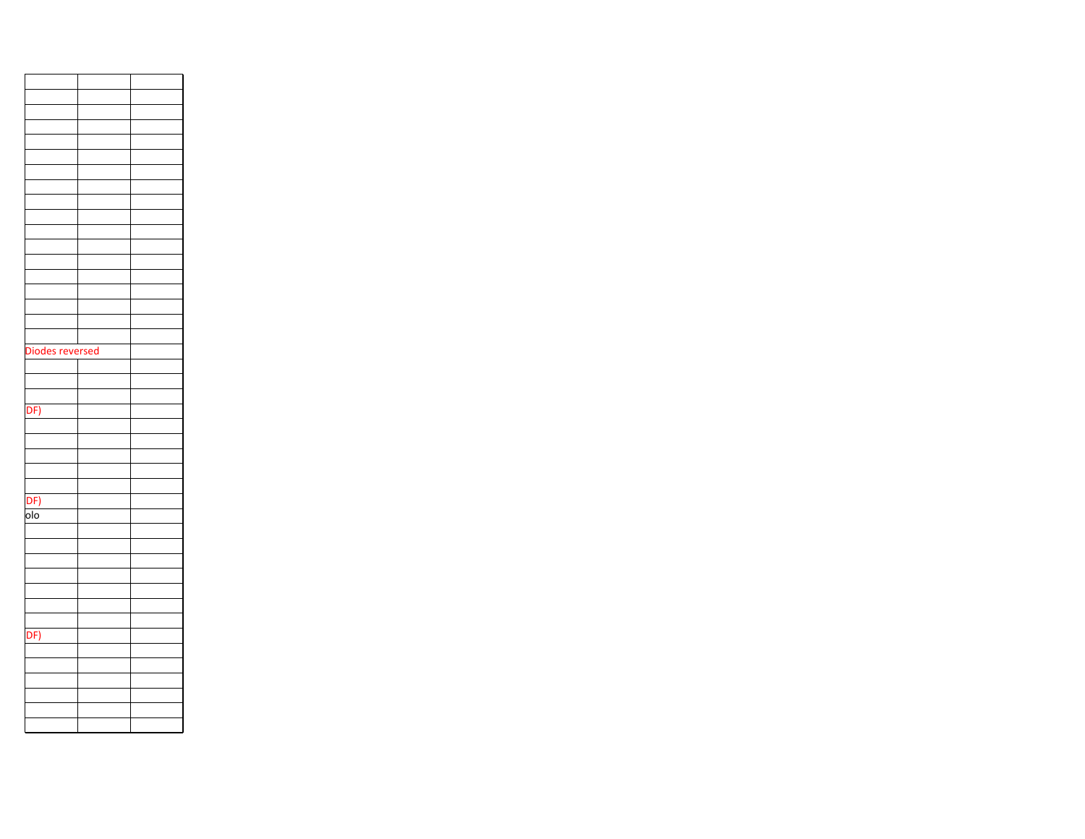| Diodes reversed         |  |
|-------------------------|--|
|                         |  |
|                         |  |
|                         |  |
| DF)                     |  |
|                         |  |
|                         |  |
|                         |  |
|                         |  |
|                         |  |
|                         |  |
| DF)                     |  |
| $\overline{\text{olo}}$ |  |
|                         |  |
|                         |  |
|                         |  |
|                         |  |
|                         |  |
|                         |  |
|                         |  |
| DF)                     |  |
|                         |  |
|                         |  |
|                         |  |
|                         |  |
|                         |  |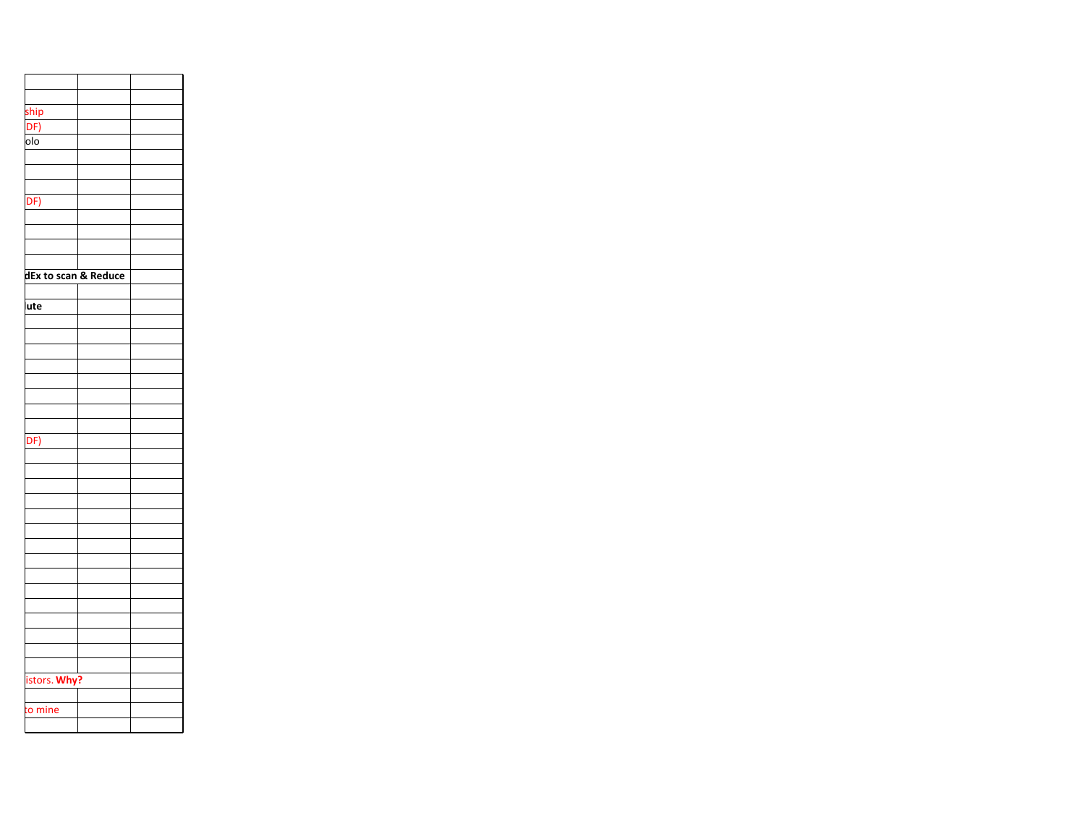| ship                 |  |
|----------------------|--|
| DF)                  |  |
| olo                  |  |
|                      |  |
|                      |  |
|                      |  |
|                      |  |
| DF)                  |  |
|                      |  |
|                      |  |
|                      |  |
|                      |  |
| dEx to scan & Reduce |  |
|                      |  |
| ute                  |  |
|                      |  |
|                      |  |
|                      |  |
|                      |  |
|                      |  |
|                      |  |
|                      |  |
|                      |  |
|                      |  |
| DF)                  |  |
|                      |  |
|                      |  |
|                      |  |
|                      |  |
|                      |  |
|                      |  |
|                      |  |
|                      |  |
|                      |  |
|                      |  |
|                      |  |
|                      |  |
|                      |  |
|                      |  |
|                      |  |
|                      |  |
| istors. Why?         |  |
|                      |  |
| o mine               |  |
|                      |  |
|                      |  |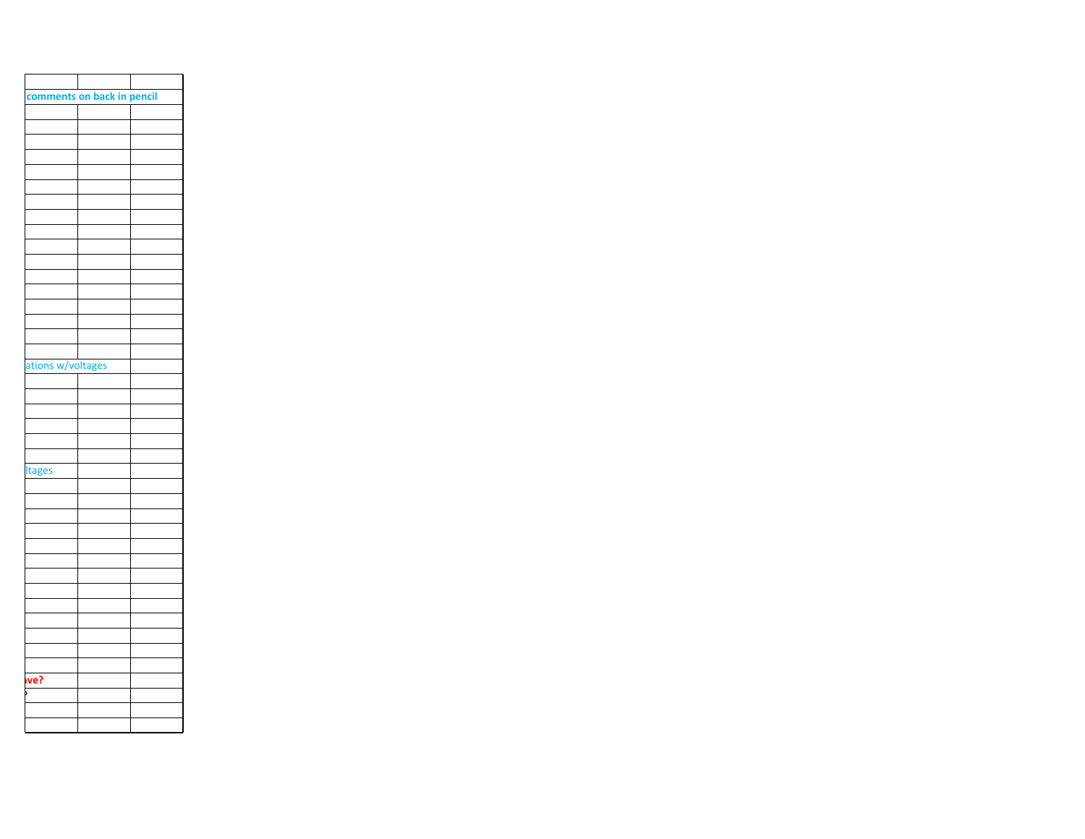| comments on back in pencil |  |  |
|----------------------------|--|--|
|                            |  |  |
|                            |  |  |
|                            |  |  |
|                            |  |  |
|                            |  |  |
|                            |  |  |
|                            |  |  |
|                            |  |  |
|                            |  |  |
|                            |  |  |
|                            |  |  |
|                            |  |  |
|                            |  |  |
|                            |  |  |
|                            |  |  |
|                            |  |  |
|                            |  |  |
| ations w/voltages          |  |  |
|                            |  |  |
|                            |  |  |
|                            |  |  |
|                            |  |  |
|                            |  |  |
|                            |  |  |
| <b>Itages</b>              |  |  |
|                            |  |  |
|                            |  |  |
|                            |  |  |
|                            |  |  |
|                            |  |  |
|                            |  |  |
|                            |  |  |
|                            |  |  |
|                            |  |  |
|                            |  |  |
|                            |  |  |
|                            |  |  |
|                            |  |  |
| ve?                        |  |  |
|                            |  |  |
|                            |  |  |
|                            |  |  |
|                            |  |  |